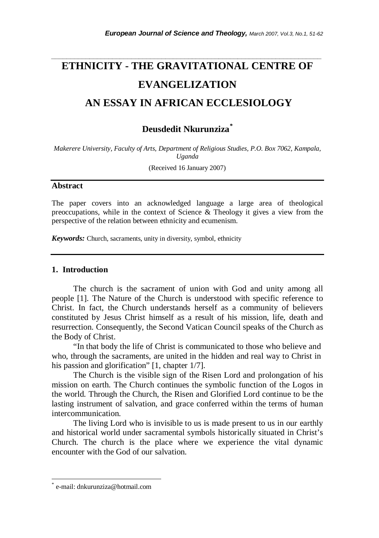# **ETHNICITY - THE GRAVITATIONAL CENTRE OF EVANGELIZATION AN ESSAY IN AFRICAN ECCLESIOLOGY**

*\_\_\_\_\_\_\_\_\_\_\_\_\_\_\_\_\_\_\_\_\_\_\_\_\_\_\_\_\_\_\_\_\_\_\_\_\_\_\_\_\_\_\_\_\_\_\_\_\_\_\_\_\_\_\_\_\_\_\_\_\_\_\_\_\_\_\_\_\_\_\_* 

# **Deusdedit Nkurunziza***\**

*Makerere University, Faculty of Arts, Department of Religious Studies, P.O. Box 7062, Kampala, Uganda* 

(Received 16 January 2007)

#### **Abstract**

The paper covers into an acknowledged language a large area of theological preoccupations, while in the context of Science & Theology it gives a view from the perspective of the relation between ethnicity and ecumenism.

*Keywords:* Church, sacraments, unity in diversity, symbol, ethnicity

#### **1. Introduction**

 The church is the sacrament of union with God and unity among all people [1]. The Nature of the Church is understood with specific reference to Christ. In fact, the Church understands herself as a community of believers constituted by Jesus Christ himself as a result of his mission, life, death and resurrection. Consequently, the Second Vatican Council speaks of the Church as the Body of Christ.

 "In that body the life of Christ is communicated to those who believe and who, through the sacraments, are united in the hidden and real way to Christ in his passion and glorification" [1, chapter  $1/7$ ].

 The Church is the visible sign of the Risen Lord and prolongation of his mission on earth. The Church continues the symbolic function of the Logos in the world. Through the Church, the Risen and Glorified Lord continue to be the lasting instrument of salvation, and grace conferred within the terms of human intercommunication.

 The living Lord who is invisible to us is made present to us in our earthly and historical world under sacramental symbols historically situated in Christ's Church. The church is the place where we experience the vital dynamic encounter with the God of our salvation.

l

<sup>\*</sup> e-mail: dnkurunziza@hotmail.com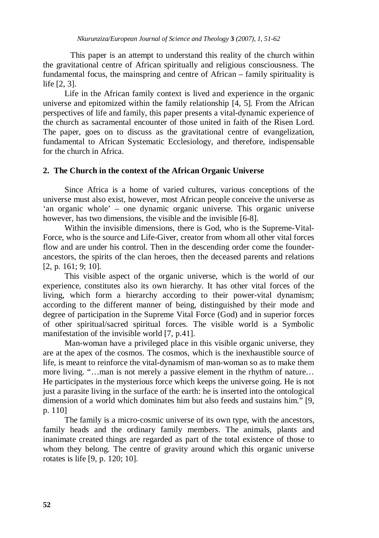This paper is an attempt to understand this reality of the church within the gravitational centre of African spiritually and religious consciousness. The fundamental focus, the mainspring and centre of African – family spirituality is life [2, 3].

 Life in the African family context is lived and experience in the organic universe and epitomized within the family relationship [4, 5]. From the African perspectives of life and family, this paper presents a vital-dynamic experience of the church as sacramental encounter of those united in faith of the Risen Lord. The paper, goes on to discuss as the gravitational centre of evangelization, fundamental to African Systematic Ecclesiology, and therefore, indispensable for the church in Africa.

# **2. The Church in the context of the African Organic Universe**

 Since Africa is a home of varied cultures, various conceptions of the universe must also exist, however, most African people conceive the universe as 'an organic whole' – one dynamic organic universe. This organic universe however, has two dimensions, the visible and the invisible [6-8].

 Within the invisible dimensions, there is God, who is the Supreme-Vital-Force, who is the source and Life-Giver, creator from whom all other vital forces flow and are under his control. Then in the descending order come the founderancestors, the spirits of the clan heroes, then the deceased parents and relations [2, p. 161; 9; 10].

 This visible aspect of the organic universe, which is the world of our experience, constitutes also its own hierarchy. It has other vital forces of the living, which form a hierarchy according to their power-vital dynamism; according to the different manner of being, distinguished by their mode and degree of participation in the Supreme Vital Force (God) and in superior forces of other spiritual/sacred spiritual forces. The visible world is a Symbolic manifestation of the invisible world [7, p.41].

 Man-woman have a privileged place in this visible organic universe, they are at the apex of the cosmos. The cosmos, which is the inexhaustible source of life, is meant to reinforce the vital-dynamism of man-woman so as to make them more living. "…man is not merely a passive element in the rhythm of nature… He participates in the mysterious force which keeps the universe going. He is not just a parasite living in the surface of the earth: he is inserted into the ontological dimension of a world which dominates him but also feeds and sustains him." [9, p. 110]

The family is a micro-cosmic universe of its own type, with the ancestors, family heads and the ordinary family members. The animals, plants and inanimate created things are regarded as part of the total existence of those to whom they belong. The centre of gravity around which this organic universe rotates is life [9, p. 120; 10].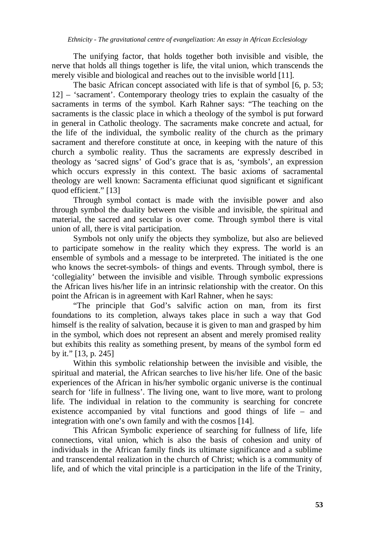The unifying factor, that holds together both invisible and visible, the nerve that holds all things together is life, the vital union, which transcends the merely visible and biological and reaches out to the invisible world [11].

The basic African concept associated with life is that of symbol [6, p. 53; 12] – 'sacrament'. Contemporary theology tries to explain the casualty of the sacraments in terms of the symbol. Karh Rahner says: "The teaching on the sacraments is the classic place in which a theology of the symbol is put forward in general in Catholic theology. The sacraments make concrete and actual, for the life of the individual, the symbolic reality of the church as the primary sacrament and therefore constitute at once, in keeping with the nature of this church a symbolic reality. Thus the sacraments are expressly described in theology as 'sacred signs' of God's grace that is as, 'symbols', an expression which occurs expressly in this context. The basic axioms of sacramental theology are well known: Sacramenta efficiunat quod significant et significant quod efficient." [13]

Through symbol contact is made with the invisible power and also through symbol the duality between the visible and invisible, the spiritual and material, the sacred and secular is over come. Through symbol there is vital union of all, there is vital participation.

Symbols not only unify the objects they symbolize, but also are believed to participate somehow in the reality which they express. The world is an ensemble of symbols and a message to be interpreted. The initiated is the one who knows the secret-symbols- of things and events. Through symbol, there is 'collegiality' between the invisible and visible. Through symbolic expressions the African lives his/her life in an intrinsic relationship with the creator. On this point the African is in agreement with Karl Rahner, when he says:

"The principle that God's salvific action on man, from its first foundations to its completion, always takes place in such a way that God himself is the reality of salvation, because it is given to man and grasped by him in the symbol, which does not represent an absent and merely promised reality but exhibits this reality as something present, by means of the symbol form ed by it." [13, p. 245]

Within this symbolic relationship between the invisible and visible, the spiritual and material, the African searches to live his/her life. One of the basic experiences of the African in his/her symbolic organic universe is the continual search for 'life in fullness'. The living one, want to live more, want to prolong life. The individual in relation to the community is searching for concrete existence accompanied by vital functions and good things of life – and integration with one's own family and with the cosmos [14].

This African Symbolic experience of searching for fullness of life, life connections, vital union, which is also the basis of cohesion and unity of individuals in the African family finds its ultimate significance and a sublime and transcendental realization in the church of Christ; which is a community of life, and of which the vital principle is a participation in the life of the Trinity,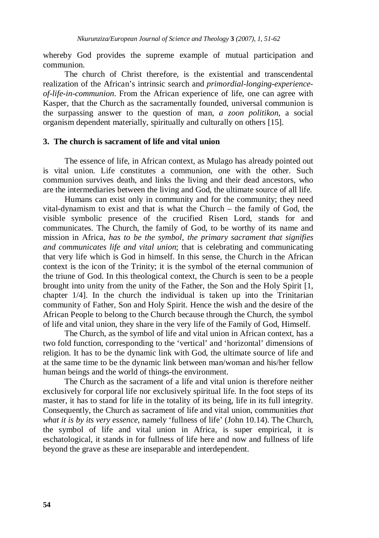whereby God provides the supreme example of mutual participation and communion.

The church of Christ therefore, is the existential and transcendental realization of the African's intrinsic search and *primordial-longing-experienceof-life-in-communion*. From the African experience of life, one can agree with Kasper, that the Church as the sacramentally founded, universal communion is the surpassing answer to the question of man, *a zoon politikon*, a social organism dependent materially, spiritually and culturally on others [15].

## **3. The church is sacrament of life and vital union**

The essence of life, in African context, as Mulago has already pointed out is vital union. Life constitutes a communion, one with the other. Such communion survives death, and links the living and their dead ancestors, who are the intermediaries between the living and God, the ultimate source of all life.

Humans can exist only in community and for the community; they need vital-dynamism to exist and that is what the Church – the family of God, the visible symbolic presence of the crucified Risen Lord, stands for and communicates. The Church, the family of God, to be worthy of its name and mission in Africa, *has to be the symbol, the primary sacrament that signifies and communicates life and vital union*; that is celebrating and communicating that very life which is God in himself. In this sense, the Church in the African context is the icon of the Trinity; it is the symbol of the eternal communion of the triune of God. In this theological context, the Church is seen to be a people brought into unity from the unity of the Father, the Son and the Holy Spirit [1, chapter 1/4]. In the church the individual is taken up into the Trinitarian community of Father, Son and Holy Spirit. Hence the wish and the desire of the African People to belong to the Church because through the Church, the symbol of life and vital union, they share in the very life of the Family of God, Himself.

The Church, as the symbol of life and vital union in African context, has a two fold function, corresponding to the 'vertical' and 'horizontal' dimensions of religion. It has to be the dynamic link with God, the ultimate source of life and at the same time to be the dynamic link between man/woman and his/her fellow human beings and the world of things-the environment.

The Church as the sacrament of a life and vital union is therefore neither exclusively for corporal life nor exclusively spiritual life. In the foot steps of its master, it has to stand for life in the totality of its being, life in its full integrity. Consequently, the Church as sacrament of life and vital union, communities *that what it is by its very essence*, namely 'fullness of life' (John 10.14). The Church, the symbol of life and vital union in Africa, is super empirical, it is eschatological, it stands in for fullness of life here and now and fullness of life beyond the grave as these are inseparable and interdependent.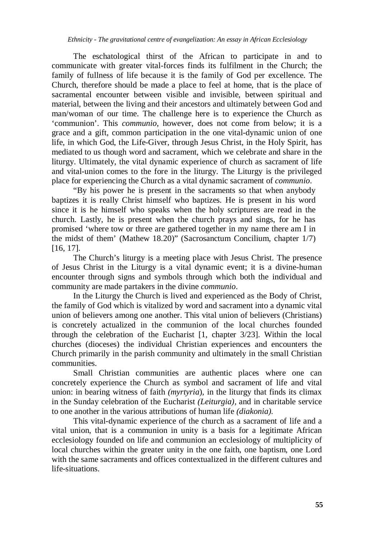#### *Ethnicity - The gravitational centre of evangelization: An essay in African Ecclesiology*

The eschatological thirst of the African to participate in and to communicate with greater vital-forces finds its fulfilment in the Church; the family of fullness of life because it is the family of God per excellence. The Church, therefore should be made a place to feel at home, that is the place of sacramental encounter between visible and invisible, between spiritual and material, between the living and their ancestors and ultimately between God and man/woman of our time. The challenge here is to experience the Church as 'communion'. This *communio*, however, does not come from below; it is a grace and a gift, common participation in the one vital-dynamic union of one life, in which God, the Life-Giver, through Jesus Christ, in the Holy Spirit, has mediated to us though word and sacrament, which we celebrate and share in the liturgy. Ultimately, the vital dynamic experience of church as sacrament of life and vital-union comes to the fore in the liturgy. The Liturgy is the privileged place for experiencing the Church as a vital dynamic sacrament of *communio*.

"By his power he is present in the sacraments so that when anybody baptizes it is really Christ himself who baptizes. He is present in his word since it is he himself who speaks when the holy scriptures are read in the church. Lastly, he is present when the church prays and sings, for he has promised 'where tow or three are gathered together in my name there am I in the midst of them' (Mathew 18.20)" (Sacrosanctum Concilium, chapter 1/7) [16, 17].

The Church's liturgy is a meeting place with Jesus Christ. The presence of Jesus Christ in the Liturgy is a vital dynamic event; it is a divine-human encounter through signs and symbols through which both the individual and community are made partakers in the divine *communio*.

In the Liturgy the Church is lived and experienced as the Body of Christ, the family of God which is vitalized by word and sacrament into a dynamic vital union of believers among one another. This vital union of believers (Christians) is concretely actualized in the communion of the local churches founded through the celebration of the Eucharist [1, chapter 3/23]. Within the local churches (dioceses) the individual Christian experiences and encounters the Church primarily in the parish community and ultimately in the small Christian communities.

Small Christian communities are authentic places where one can concretely experience the Church as symbol and sacrament of life and vital union: in bearing witness of faith *(myrtyria*), in the liturgy that finds its climax in the Sunday celebration of the Eucharist *(Leiturgia),* and in charitable service to one another in the various attributions of human life *(diakonia).* 

This vital-dynamic experience of the church as a sacrament of life and a vital union, that is a communion in unity is a basis for a legitimate African ecclesiology founded on life and communion an ecclesiology of multiplicity of local churches within the greater unity in the one faith, one baptism, one Lord with the same sacraments and offices contextualized in the different cultures and life-situations.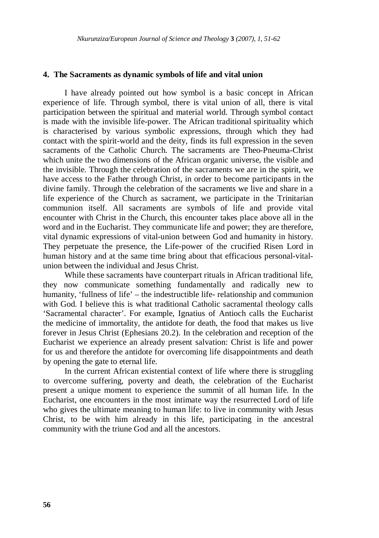#### **4. The Sacraments as dynamic symbols of life and vital union**

I have already pointed out how symbol is a basic concept in African experience of life. Through symbol, there is vital union of all, there is vital participation between the spiritual and material world. Through symbol contact is made with the invisible life-power. The African traditional spirituality which is characterised by various symbolic expressions, through which they had contact with the spirit-world and the deity, finds its full expression in the seven sacraments of the Catholic Church. The sacraments are Theo-Pneuma-Christ which unite the two dimensions of the African organic universe, the visible and the invisible. Through the celebration of the sacraments we are in the spirit, we have access to the Father through Christ, in order to become participants in the divine family. Through the celebration of the sacraments we live and share in a life experience of the Church as sacrament, we participate in the Trinitarian communion itself. All sacraments are symbols of life and provide vital encounter with Christ in the Church, this encounter takes place above all in the word and in the Eucharist. They communicate life and power; they are therefore, vital dynamic expressions of vital-union between God and humanity in history. They perpetuate the presence, the Life-power of the crucified Risen Lord in human history and at the same time bring about that efficacious personal-vitalunion between the individual and Jesus Christ.

While these sacraments have counterpart rituals in African traditional life, they now communicate something fundamentally and radically new to humanity, 'fullness of life' – the indestructible life- relationship and communion with God. I believe this is what traditional Catholic sacramental theology calls 'Sacramental character'. For example, Ignatius of Antioch calls the Eucharist the medicine of immortality, the antidote for death, the food that makes us live forever in Jesus Christ (Ephesians 20.2). In the celebration and reception of the Eucharist we experience an already present salvation: Christ is life and power for us and therefore the antidote for overcoming life disappointments and death by opening the gate to eternal life.

In the current African existential context of life where there is struggling to overcome suffering, poverty and death, the celebration of the Eucharist present a unique moment to experience the summit of all human life. In the Eucharist, one encounters in the most intimate way the resurrected Lord of life who gives the ultimate meaning to human life: to live in community with Jesus Christ, to be with him already in this life, participating in the ancestral community with the triune God and all the ancestors.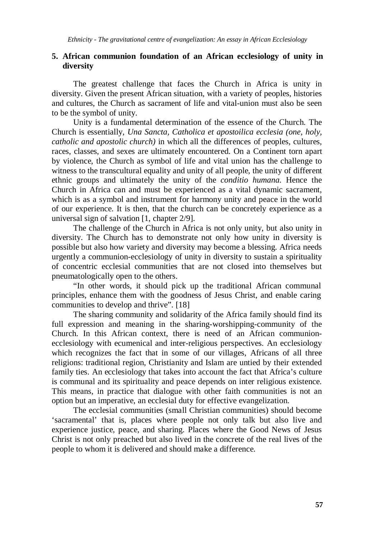## **5. African communion foundation of an African ecclesiology of unity in diversity**

The greatest challenge that faces the Church in Africa is unity in diversity. Given the present African situation, with a variety of peoples, histories and cultures, the Church as sacrament of life and vital-union must also be seen to be the symbol of unity.

Unity is a fundamental determination of the essence of the Church. The Church is essentially, *Una Sancta, Catholica et apostoilica ecclesia (one, holy, catholic and apostolic church)* in which all the differences of peoples, cultures, races, classes, and sexes are ultimately encountered. On a Continent torn apart by violence, the Church as symbol of life and vital union has the challenge to witness to the transcultural equality and unity of all people, the unity of different ethnic groups and ultimately the unity of the *conditio humana*. Hence the Church in Africa can and must be experienced as a vital dynamic sacrament, which is as a symbol and instrument for harmony unity and peace in the world of our experience. It is then, that the church can be concretely experience as a universal sign of salvation [1, chapter 2/9].

The challenge of the Church in Africa is not only unity, but also unity in diversity. The Church has to demonstrate not only how unity in diversity is possible but also how variety and diversity may become a blessing. Africa needs urgently a communion-ecclesiology of unity in diversity to sustain a spirituality of concentric ecclesial communities that are not closed into themselves but pneumatologically open to the others.

"In other words, it should pick up the traditional African communal principles, enhance them with the goodness of Jesus Christ, and enable caring communities to develop and thrive". [18]

The sharing community and solidarity of the Africa family should find its full expression and meaning in the sharing-worshipping-community of the Church. In this African context, there is need of an African communionecclesiology with ecumenical and inter-religious perspectives. An ecclesiology which recognizes the fact that in some of our villages, Africans of all three religions: traditional region, Christianity and Islam are untied by their extended family ties. An ecclesiology that takes into account the fact that Africa's culture is communal and its spirituality and peace depends on inter religious existence. This means, in practice that dialogue with other faith communities is not an option but an imperative, an ecclesial duty for effective evangelization.

The ecclesial communities (small Christian communities) should become 'sacramental' that is, places where people not only talk but also live and experience justice, peace, and sharing. Places where the Good News of Jesus Christ is not only preached but also lived in the concrete of the real lives of the people to whom it is delivered and should make a difference.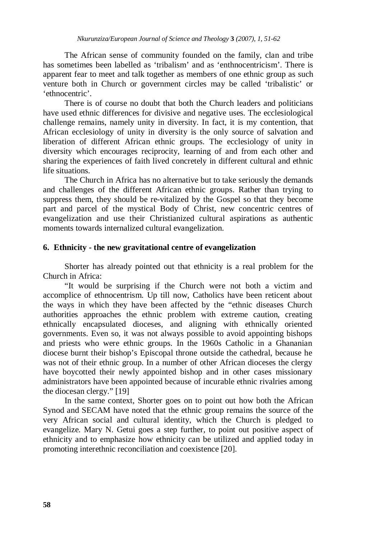The African sense of community founded on the family, clan and tribe has sometimes been labelled as 'tribalism' and as 'enthnocentricism'. There is apparent fear to meet and talk together as members of one ethnic group as such venture both in Church or government circles may be called 'tribalistic' or 'ethnocentric'.

There is of course no doubt that both the Church leaders and politicians have used ethnic differences for divisive and negative uses. The ecclesiological challenge remains, namely unity in diversity. In fact, it is my contention, that African ecclesiology of unity in diversity is the only source of salvation and liberation of different African ethnic groups. The ecclesiology of unity in diversity which encourages reciprocity, learning of and from each other and sharing the experiences of faith lived concretely in different cultural and ethnic life situations.

The Church in Africa has no alternative but to take seriously the demands and challenges of the different African ethnic groups. Rather than trying to suppress them, they should be re-vitalized by the Gospel so that they become part and parcel of the mystical Body of Christ, new concentric centres of evangelization and use their Christianized cultural aspirations as authentic moments towards internalized cultural evangelization.

#### **6. Ethnicity - the new gravitational centre of evangelization**

Shorter has already pointed out that ethnicity is a real problem for the Church in Africa:

"It would be surprising if the Church were not both a victim and accomplice of ethnocentrism. Up till now, Catholics have been reticent about the ways in which they have been affected by the "ethnic diseases Church authorities approaches the ethnic problem with extreme caution, creating ethnically encapsulated dioceses, and aligning with ethnically oriented governments. Even so, it was not always possible to avoid appointing bishops and priests who were ethnic groups. In the 1960s Catholic in a Ghananian diocese burnt their bishop's Episcopal throne outside the cathedral, because he was not of their ethnic group. In a number of other African dioceses the clergy have boycotted their newly appointed bishop and in other cases missionary administrators have been appointed because of incurable ethnic rivalries among the diocesan clergy." [19]

In the same context, Shorter goes on to point out how both the African Synod and SECAM have noted that the ethnic group remains the source of the very African social and cultural identity, which the Church is pledged to evangelize. Mary N. Getui goes a step further, to point out positive aspect of ethnicity and to emphasize how ethnicity can be utilized and applied today in promoting interethnic reconciliation and coexistence [20].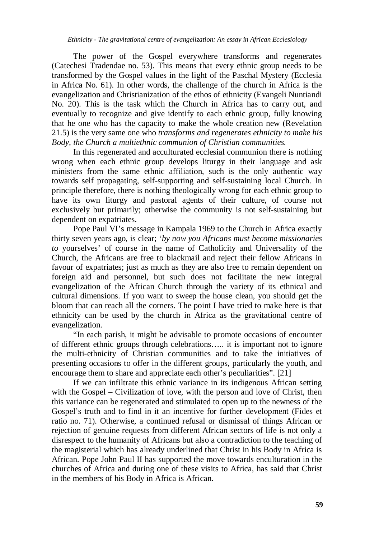The power of the Gospel everywhere transforms and regenerates (Catechesi Tradendae no. 53). This means that every ethnic group needs to be transformed by the Gospel values in the light of the Paschal Mystery (Ecclesia in Africa No. 61). In other words, the challenge of the church in Africa is the evangelization and Christianization of the ethos of ethnicity (Evangeli Nuntiandi No. 20). This is the task which the Church in Africa has to carry out, and eventually to recognize and give identify to each ethnic group, fully knowing that he one who has the capacity to make the whole creation new (Revelation 21.5) is the very same one who *transforms and regenerates ethnicity to make his Body, the Church a multiethnic communion of Christian communities.* 

In this regenerated and acculturated ecclesial communion there is nothing wrong when each ethnic group develops liturgy in their language and ask ministers from the same ethnic affiliation, such is the only authentic way towards self propagating, self-supporting and self-sustaining local Church. In principle therefore, there is nothing theologically wrong for each ethnic group to have its own liturgy and pastoral agents of their culture, of course not exclusively but primarily; otherwise the community is not self-sustaining but dependent on expatriates.

Pope Paul VI's message in Kampala 1969 to the Church in Africa exactly thirty seven years ago, is clear; '*by now you Africans must become missionaries to* yourselves' of course in the name of Catholicity and Universality of the Church, the Africans are free to blackmail and reject their fellow Africans in favour of expatriates; just as much as they are also free to remain dependent on foreign aid and personnel, but such does not facilitate the new integral evangelization of the African Church through the variety of its ethnical and cultural dimensions. If you want to sweep the house clean, you should get the bloom that can reach all the corners. The point I have tried to make here is that ethnicity can be used by the church in Africa as the gravitational centre of evangelization.

"In each parish, it might be advisable to promote occasions of encounter of different ethnic groups through celebrations….. it is important not to ignore the multi-ethnicity of Christian communities and to take the initiatives of presenting occasions to offer in the different groups, particularly the youth, and encourage them to share and appreciate each other's peculiarities". [21]

If we can infiltrate this ethnic variance in its indigenous African setting with the Gospel – Civilization of love, with the person and love of Christ, then this variance can be regenerated and stimulated to open up to the newness of the Gospel's truth and to find in it an incentive for further development (Fides et ratio no. 71). Otherwise, a continued refusal or dismissal of things African or rejection of genuine requests from different African sectors of life is not only a disrespect to the humanity of Africans but also a contradiction to the teaching of the magisterial which has already underlined that Christ in his Body in Africa is African. Pope John Paul II has supported the move towards enculturation in the churches of Africa and during one of these visits to Africa, has said that Christ in the members of his Body in Africa is African.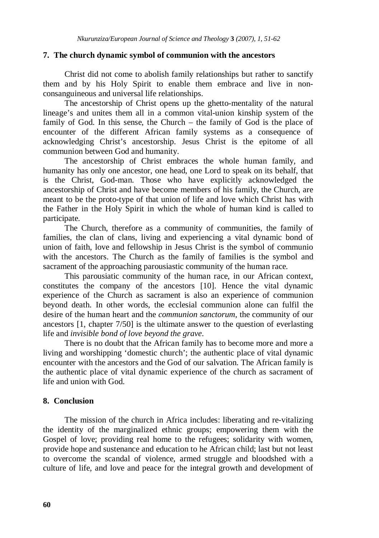#### **7. The church dynamic symbol of communion with the ancestors**

Christ did not come to abolish family relationships but rather to sanctify them and by his Holy Spirit to enable them embrace and live in nonconsanguineous and universal life relationships.

The ancestorship of Christ opens up the ghetto-mentality of the natural lineage's and unites them all in a common vital-union kinship system of the family of God. In this sense, the Church – the family of God is the place of encounter of the different African family systems as a consequence of acknowledging Christ's ancestorship. Jesus Christ is the epitome of all communion between God and humanity.

The ancestorship of Christ embraces the whole human family, and humanity has only one ancestor, one head, one Lord to speak on its behalf, that is the Christ, God-man. Those who have explicitly acknowledged the ancestorship of Christ and have become members of his family, the Church, are meant to be the proto-type of that union of life and love which Christ has with the Father in the Holy Spirit in which the whole of human kind is called to participate.

The Church, therefore as a community of communities, the family of families, the clan of clans, living and experiencing a vital dynamic bond of union of faith, love and fellowship in Jesus Christ is the symbol of communio with the ancestors. The Church as the family of families is the symbol and sacrament of the approaching parousiastic community of the human race.

This parousiatic community of the human race, in our African context, constitutes the company of the ancestors [10]. Hence the vital dynamic experience of the Church as sacrament is also an experience of communion beyond death. In other words, the ecclesial communion alone can fulfil the desire of the human heart and the *communion sanctorum*, the community of our ancestors [1, chapter 7/50] is the ultimate answer to the question of everlasting life and *invisible bond of love beyond the grave*.

There is no doubt that the African family has to become more and more a living and worshipping 'domestic church'; the authentic place of vital dynamic encounter with the ancestors and the God of our salvation. The African family is the authentic place of vital dynamic experience of the church as sacrament of life and union with God.

## **8. Conclusion**

The mission of the church in Africa includes: liberating and re-vitalizing the identity of the marginalized ethnic groups; empowering them with the Gospel of love; providing real home to the refugees; solidarity with women, provide hope and sustenance and education to he African child; last but not least to overcome the scandal of violence, armed struggle and bloodshed with a culture of life, and love and peace for the integral growth and development of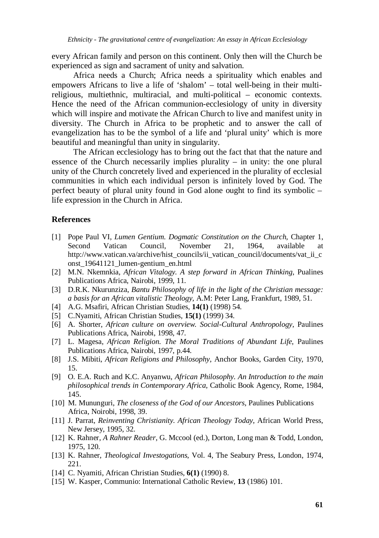every African family and person on this continent. Only then will the Church be experienced as sign and sacrament of unity and salvation.

Africa needs a Church; Africa needs a spirituality which enables and empowers Africans to live a life of 'shalom' – total well-being in their multireligious, multiethnic, multiracial, and multi-political – economic contexts. Hence the need of the African communion-ecclesiology of unity in diversity which will inspire and motivate the African Church to live and manifest unity in diversity. The Church in Africa to be prophetic and to answer the call of evangelization has to be the symbol of a life and 'plural unity' which is more beautiful and meaningful than unity in singularity.

The African ecclesiology has to bring out the fact that that the nature and essence of the Church necessarily implies plurality  $-$  in unity: the one plural unity of the Church concretely lived and experienced in the plurality of ecclesial communities in which each individual person is infinitely loved by God. The perfect beauty of plural unity found in God alone ought to find its symbolic – life expression in the Church in Africa.

## **References**

- [1] Pope Paul VI, *Lumen Gentium*. *Dogmatic Constitution on the Church*, Chapter 1, Second Vatican Council, November 21, 1964, available at http://www.vatican.va/archive/hist\_councils/ii\_vatican\_council/documents/vat\_ii\_c onst\_19641121\_lumen-gentium\_en.html
- [2] M.N. Nkemnkia, *African Vitalogy. A step forward in African Thinking*, Pualines Publications Africa, Nairobi, 1999, 11.
- [3] D.R.K. Nkurunziza, *Bantu Philosophy of life in the light of the Christian message: a basis for an African vitalistic Theology*, A.M: Peter Lang, Frankfurt, 1989, 51.
- [4] A.G. Msafiri, African Christian Studies, **14(1)** (1998) 54.
- [5] C.Nyamiti, African Christian Studies, **15(1)** (1999) 34.
- [6] A. Shorter, *African culture on overview. Social-Cultural Anthropology*, Paulines Publications Africa, Nairobi, 1998, 47.
- [7] L. Magesa, *African Religion. The Moral Traditions of Abundant Life*, Paulines Publications Africa, Nairobi, 1997, p.44.
- [8] J.S. Mibiti, *African Religions and Philosophy*, Anchor Books, Garden City, 1970, 15.
- [9] O. E.A. Ruch and K.C. Anyanwu, *African Philosophy. An Introduction to the main philosophical trends in Contemporary Africa*, Catholic Book Agency, Rome, 1984, 145.
- [10] M. Mununguri, *The closeness of the God of our Ancestors*, Paulines Publications Africa, Noirobi, 1998, 39.
- [11] J. Parrat, *Reinventing Christianity. African Theology Today*, African World Press, New Jersey, 1995, 32.
- [12] K. Rahner, *A Rahner Reader*, G. Mccool (ed.), Dorton, Long man & Todd, London, 1975, 120.
- [13] K. Rahner, *Theological Investogations*, Vol. 4, The Seabury Press, London, 1974, 221.
- [14] C. Nyamiti, African Christian Studies, **6(1)** (1990) 8.
- [15] W. Kasper, Communio: International Catholic Review, **13** (1986) 101.